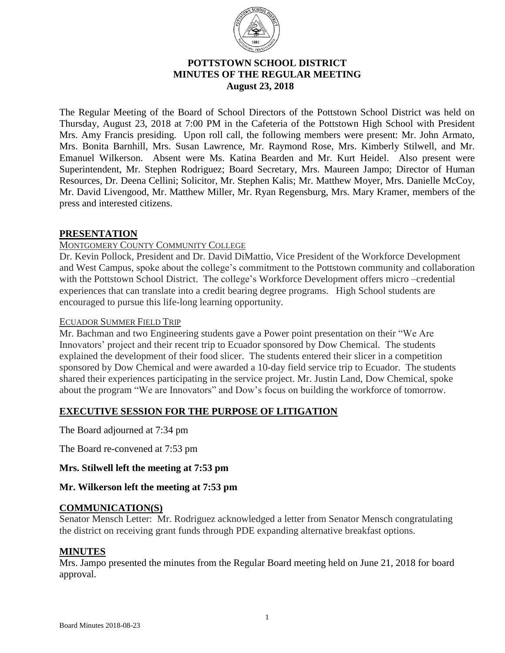

## **POTTSTOWN SCHOOL DISTRICT MINUTES OF THE REGULAR MEETING** **August 23, 2018**

The Regular Meeting of the Board of School Directors of the Pottstown School District was held on Thursday, August 23, 2018 at 7:00 PM in the Cafeteria of the Pottstown High School with President Mrs. Amy Francis presiding. Upon roll call, the following members were present: Mr. John Armato, Mrs. Bonita Barnhill, Mrs. Susan Lawrence, Mr. Raymond Rose, Mrs. Kimberly Stilwell, and Mr. Emanuel Wilkerson. Absent were Ms. Katina Bearden and Mr. Kurt Heidel. Also present were Superintendent, Mr. Stephen Rodriguez; Board Secretary, Mrs. Maureen Jampo; Director of Human Resources, Dr. Deena Cellini; Solicitor, Mr. Stephen Kalis; Mr. Matthew Moyer, Mrs. Danielle McCoy, Mr. David Livengood, Mr. Matthew Miller, Mr. Ryan Regensburg, Mrs. Mary Kramer, members of the press and interested citizens.

## **PRESENTATION**

### MONTGOMERY COUNTY COMMUNITY COLLEGE

Dr. Kevin Pollock, President and Dr. David DiMattio, Vice President of the Workforce Development and West Campus, spoke about the college's commitment to the Pottstown community and collaboration with the Pottstown School District. The college's Workforce Development offers micro –credential experiences that can translate into a credit bearing degree programs. High School students are encouraged to pursue this life-long learning opportunity.

### ECUADOR SUMMER FIELD TRIP

Mr. Bachman and two Engineering students gave a Power point presentation on their "We Are Innovators' project and their recent trip to Ecuador sponsored by Dow Chemical. The students explained the development of their food slicer. The students entered their slicer in a competition sponsored by Dow Chemical and were awarded a 10-day field service trip to Ecuador. The students shared their experiences participating in the service project. Mr. Justin Land, Dow Chemical, spoke about the program "We are Innovators" and Dow's focus on building the workforce of tomorrow.

# **EXECUTIVE SESSION FOR THE PURPOSE OF LITIGATION**

The Board adjourned at 7:34 pm

The Board re-convened at 7:53 pm

### **Mrs. Stilwell left the meeting at 7:53 pm**

### **Mr. Wilkerson left the meeting at 7:53 pm**

### **COMMUNICATION(S)**

Senator Mensch Letter: Mr. Rodriguez acknowledged a letter from Senator Mensch congratulating the district on receiving grant funds through PDE expanding alternative breakfast options.

### **MINUTES**

Mrs. Jampo presented the minutes from the Regular Board meeting held on June 21, 2018 for board approval.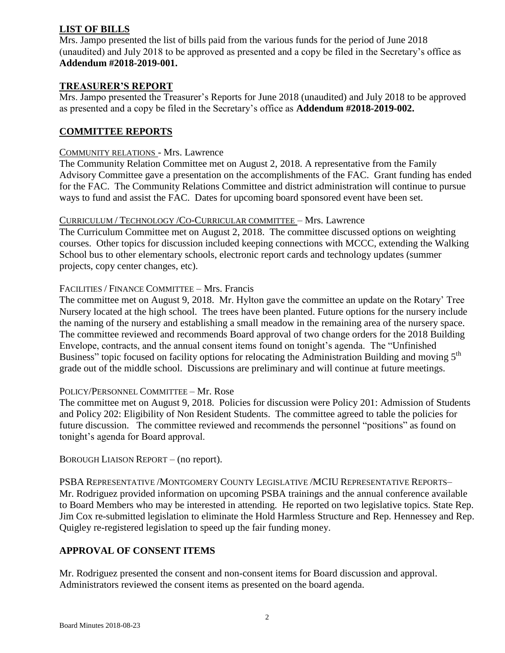# **LIST OF BILLS**

Mrs. Jampo presented the list of bills paid from the various funds for the period of June 2018 (unaudited) and July 2018 to be approved as presented and a copy be filed in the Secretary's office as **Addendum #2018-2019-001.** 

## **TREASURER'S REPORT**

Mrs. Jampo presented the Treasurer's Reports for June 2018 (unaudited) and July 2018 to be approved as presented and a copy be filed in the Secretary's office as **Addendum #2018-2019-002.** 

## **COMMITTEE REPORTS**

#### COMMUNITY RELATIONS - Mrs. Lawrence

The Community Relation Committee met on August 2, 2018. A representative from the Family Advisory Committee gave a presentation on the accomplishments of the FAC. Grant funding has ended for the FAC. The Community Relations Committee and district administration will continue to pursue ways to fund and assist the FAC. Dates for upcoming board sponsored event have been set.

#### CURRICULUM / TECHNOLOGY /CO-CURRICULAR COMMITTEE – Mrs. Lawrence

The Curriculum Committee met on August 2, 2018. The committee discussed options on weighting courses. Other topics for discussion included keeping connections with MCCC, extending the Walking School bus to other elementary schools, electronic report cards and technology updates (summer projects, copy center changes, etc).

### FACILITIES / FINANCE COMMITTEE – Mrs. Francis

The committee met on August 9, 2018. Mr. Hylton gave the committee an update on the Rotary' Tree Nursery located at the high school. The trees have been planted. Future options for the nursery include the naming of the nursery and establishing a small meadow in the remaining area of the nursery space. The committee reviewed and recommends Board approval of two change orders for the 2018 Building Envelope, contracts, and the annual consent items found on tonight's agenda. The "Unfinished Business" topic focused on facility options for relocating the Administration Building and moving 5<sup>th</sup> grade out of the middle school. Discussions are preliminary and will continue at future meetings.

### POLICY/PERSONNEL COMMITTEE – Mr. Rose

The committee met on August 9, 2018. Policies for discussion were Policy 201: Admission of Students and Policy 202: Eligibility of Non Resident Students. The committee agreed to table the policies for future discussion. The committee reviewed and recommends the personnel "positions" as found on tonight's agenda for Board approval.

BOROUGH LIAISON REPORT – (no report).

PSBA REPRESENTATIVE /MONTGOMERY COUNTY LEGISLATIVE /MCIU REPRESENTATIVE REPORTS– Mr. Rodriguez provided information on upcoming PSBA trainings and the annual conference available to Board Members who may be interested in attending. He reported on two legislative topics. State Rep. Jim Cox re-submitted legislation to eliminate the Hold Harmless Structure and Rep. Hennessey and Rep. Quigley re-registered legislation to speed up the fair funding money.

# **APPROVAL OF CONSENT ITEMS**

Mr. Rodriguez presented the consent and non-consent items for Board discussion and approval. Administrators reviewed the consent items as presented on the board agenda.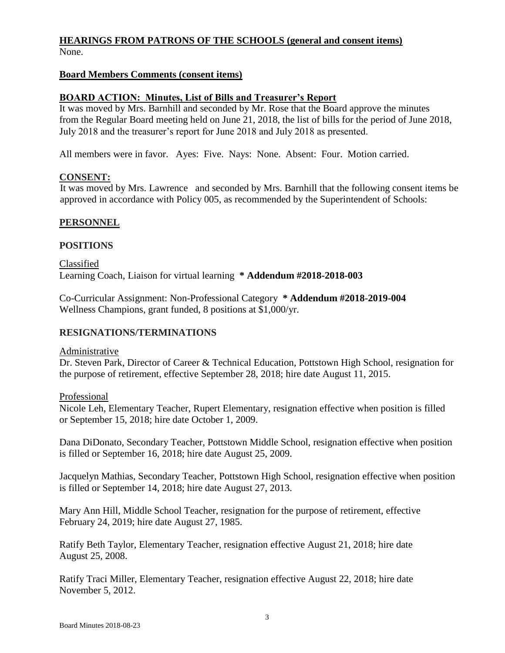### **HEARINGS FROM PATRONS OF THE SCHOOLS (general and consent items)** None.

### **Board Members Comments (consent items)**

### **BOARD ACTION: Minutes, List of Bills and Treasurer's Report**

It was moved by Mrs. Barnhill and seconded by Mr. Rose that the Board approve the minutes from the Regular Board meeting held on June 21, 2018, the list of bills for the period of June 2018, July 2018 and the treasurer's report for June 2018 and July 2018 as presented.

All members were in favor. Ayes: Five. Nays: None. Absent: Four. Motion carried.

### **CONSENT:**

It was moved by Mrs. Lawrence and seconded by Mrs. Barnhill that the following consent items be approved in accordance with Policy 005, as recommended by the Superintendent of Schools:

### **PERSONNEL**

#### **POSITIONS**

Classified Learning Coach, Liaison for virtual learning **\* Addendum #2018-2018-003**

Co-Curricular Assignment: Non-Professional Category **\* Addendum #2018-2019-004** Wellness Champions, grant funded, 8 positions at \$1,000/yr.

### **RESIGNATIONS/TERMINATIONS**

#### Administrative

Dr. Steven Park, Director of Career & Technical Education, Pottstown High School, resignation for the purpose of retirement, effective September 28, 2018; hire date August 11, 2015.

Professional

Nicole Leh, Elementary Teacher, Rupert Elementary, resignation effective when position is filled or September 15, 2018; hire date October 1, 2009.

Dana DiDonato, Secondary Teacher, Pottstown Middle School, resignation effective when position is filled or September 16, 2018; hire date August 25, 2009.

Jacquelyn Mathias, Secondary Teacher, Pottstown High School, resignation effective when position is filled or September 14, 2018; hire date August 27, 2013.

Mary Ann Hill, Middle School Teacher, resignation for the purpose of retirement, effective February 24, 2019; hire date August 27, 1985.

Ratify Beth Taylor, Elementary Teacher, resignation effective August 21, 2018; hire date August 25, 2008.

Ratify Traci Miller, Elementary Teacher, resignation effective August 22, 2018; hire date November 5, 2012.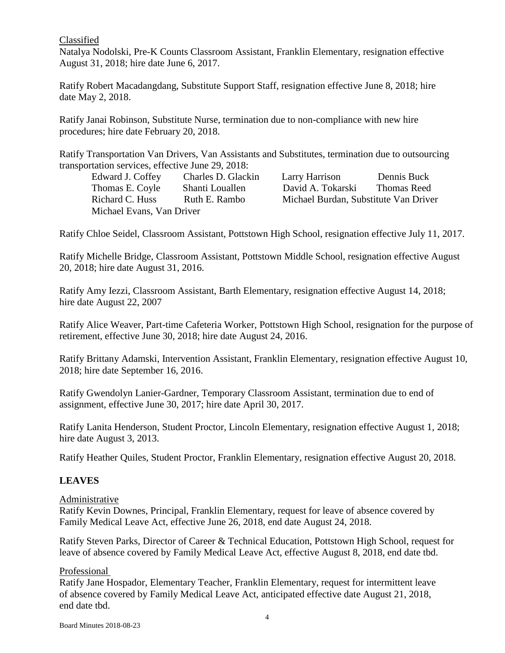### Classified

Natalya Nodolski, Pre-K Counts Classroom Assistant, Franklin Elementary, resignation effective August 31, 2018; hire date June 6, 2017.

Ratify Robert Macadangdang, Substitute Support Staff, resignation effective June 8, 2018; hire date May 2, 2018.

Ratify Janai Robinson, Substitute Nurse, termination due to non-compliance with new hire procedures; hire date February 20, 2018.

Ratify Transportation Van Drivers, Van Assistants and Substitutes, termination due to outsourcing transportation services, effective June 29, 2018:

Edward J. Coffey Charles D. Glackin Larry Harrison Dennis Buck Thomas E. Coyle Shanti Louallen David A. Tokarski Thomas Reed Richard C. Huss Ruth E. Rambo Michael Burdan, Substitute Van Driver Michael Evans, Van Driver

Ratify Chloe Seidel, Classroom Assistant, Pottstown High School, resignation effective July 11, 2017.

Ratify Michelle Bridge, Classroom Assistant, Pottstown Middle School, resignation effective August 20, 2018; hire date August 31, 2016.

Ratify Amy Iezzi, Classroom Assistant, Barth Elementary, resignation effective August 14, 2018; hire date August 22, 2007

Ratify Alice Weaver, Part-time Cafeteria Worker, Pottstown High School, resignation for the purpose of retirement, effective June 30, 2018; hire date August 24, 2016.

Ratify Brittany Adamski, Intervention Assistant, Franklin Elementary, resignation effective August 10, 2018; hire date September 16, 2016.

Ratify Gwendolyn Lanier-Gardner, Temporary Classroom Assistant, termination due to end of assignment, effective June 30, 2017; hire date April 30, 2017.

Ratify Lanita Henderson, Student Proctor, Lincoln Elementary, resignation effective August 1, 2018; hire date August 3, 2013.

Ratify Heather Quiles, Student Proctor, Franklin Elementary, resignation effective August 20, 2018.

# **LEAVES**

### Administrative

Ratify Kevin Downes, Principal, Franklin Elementary, request for leave of absence covered by Family Medical Leave Act, effective June 26, 2018, end date August 24, 2018.

Ratify Steven Parks, Director of Career & Technical Education, Pottstown High School, request for leave of absence covered by Family Medical Leave Act, effective August 8, 2018, end date tbd.

### Professional

Ratify Jane Hospador, Elementary Teacher, Franklin Elementary, request for intermittent leave of absence covered by Family Medical Leave Act, anticipated effective date August 21, 2018, end date tbd.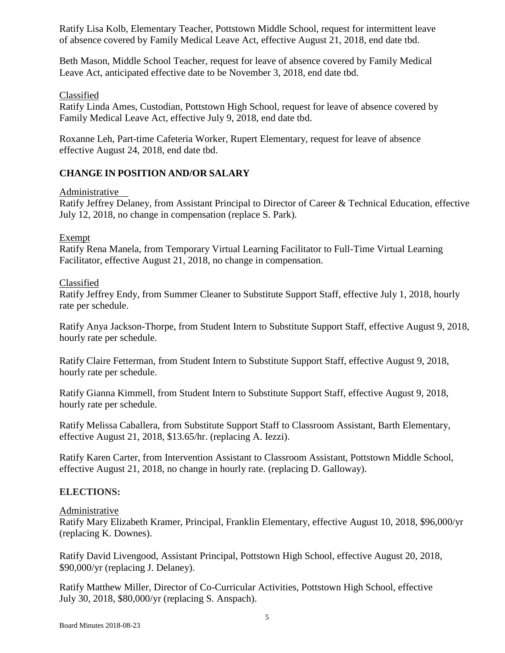Ratify Lisa Kolb, Elementary Teacher, Pottstown Middle School, request for intermittent leave of absence covered by Family Medical Leave Act, effective August 21, 2018, end date tbd.

Beth Mason, Middle School Teacher, request for leave of absence covered by Family Medical Leave Act, anticipated effective date to be November 3, 2018, end date tbd.

## Classified

Ratify Linda Ames, Custodian, Pottstown High School, request for leave of absence covered by Family Medical Leave Act, effective July 9, 2018, end date tbd.

Roxanne Leh, Part-time Cafeteria Worker, Rupert Elementary, request for leave of absence effective August 24, 2018, end date tbd.

# **CHANGE IN POSITION AND/OR SALARY**

### Administrative

Ratify Jeffrey Delaney, from Assistant Principal to Director of Career & Technical Education, effective July 12, 2018, no change in compensation (replace S. Park).

## Exempt

Ratify Rena Manela, from Temporary Virtual Learning Facilitator to Full-Time Virtual Learning Facilitator, effective August 21, 2018, no change in compensation.

## Classified

Ratify Jeffrey Endy, from Summer Cleaner to Substitute Support Staff, effective July 1, 2018, hourly rate per schedule.

Ratify Anya Jackson-Thorpe, from Student Intern to Substitute Support Staff, effective August 9, 2018, hourly rate per schedule.

Ratify Claire Fetterman, from Student Intern to Substitute Support Staff, effective August 9, 2018, hourly rate per schedule.

Ratify Gianna Kimmell, from Student Intern to Substitute Support Staff, effective August 9, 2018, hourly rate per schedule.

Ratify Melissa Caballera, from Substitute Support Staff to Classroom Assistant, Barth Elementary, effective August 21, 2018, \$13.65/hr. (replacing A. Iezzi).

Ratify Karen Carter, from Intervention Assistant to Classroom Assistant, Pottstown Middle School, effective August 21, 2018, no change in hourly rate. (replacing D. Galloway).

# **ELECTIONS:**

### Administrative

Ratify Mary Elizabeth Kramer, Principal, Franklin Elementary, effective August 10, 2018, \$96,000/yr (replacing K. Downes).

Ratify David Livengood, Assistant Principal, Pottstown High School, effective August 20, 2018, \$90,000/yr (replacing J. Delaney).

Ratify Matthew Miller, Director of Co-Curricular Activities, Pottstown High School, effective July 30, 2018, \$80,000/yr (replacing S. Anspach).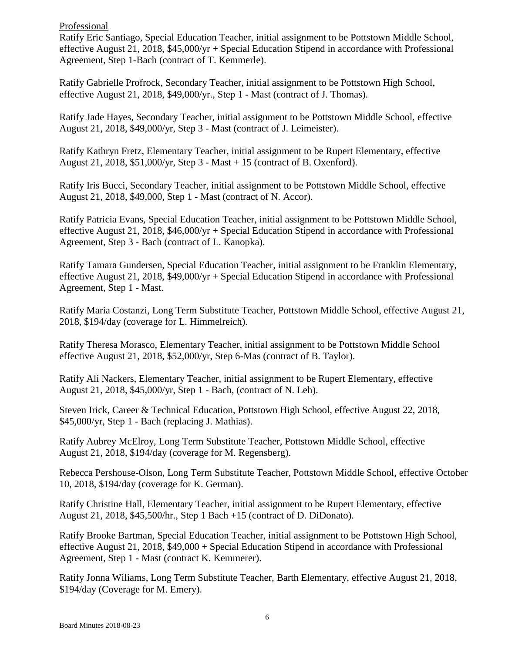### Professional

Ratify Eric Santiago, Special Education Teacher, initial assignment to be Pottstown Middle School, effective August 21, 2018, \$45,000/yr + Special Education Stipend in accordance with Professional Agreement, Step 1-Bach (contract of T. Kemmerle).

Ratify Gabrielle Profrock, Secondary Teacher, initial assignment to be Pottstown High School, effective August 21, 2018, \$49,000/yr., Step 1 - Mast (contract of J. Thomas).

Ratify Jade Hayes, Secondary Teacher, initial assignment to be Pottstown Middle School, effective August 21, 2018, \$49,000/yr, Step 3 - Mast (contract of J. Leimeister).

Ratify Kathryn Fretz, Elementary Teacher, initial assignment to be Rupert Elementary, effective August 21, 2018, \$51,000/yr, Step 3 - Mast + 15 (contract of B. Oxenford).

Ratify Iris Bucci, Secondary Teacher, initial assignment to be Pottstown Middle School, effective August 21, 2018, \$49,000, Step 1 - Mast (contract of N. Accor).

Ratify Patricia Evans, Special Education Teacher, initial assignment to be Pottstown Middle School, effective August 21, 2018, \$46,000/yr + Special Education Stipend in accordance with Professional Agreement, Step 3 - Bach (contract of L. Kanopka).

Ratify Tamara Gundersen, Special Education Teacher, initial assignment to be Franklin Elementary, effective August 21, 2018, \$49,000/yr + Special Education Stipend in accordance with Professional Agreement, Step 1 - Mast.

Ratify Maria Costanzi, Long Term Substitute Teacher, Pottstown Middle School, effective August 21, 2018, \$194/day (coverage for L. Himmelreich).

Ratify Theresa Morasco, Elementary Teacher, initial assignment to be Pottstown Middle School effective August 21, 2018, \$52,000/yr, Step 6-Mas (contract of B. Taylor).

Ratify Ali Nackers, Elementary Teacher, initial assignment to be Rupert Elementary, effective August 21, 2018, \$45,000/yr, Step 1 - Bach, (contract of N. Leh).

Steven Irick, Career & Technical Education, Pottstown High School, effective August 22, 2018, \$45,000/yr, Step 1 - Bach (replacing J. Mathias).

Ratify Aubrey McElroy, Long Term Substitute Teacher, Pottstown Middle School, effective August 21, 2018, \$194/day (coverage for M. Regensberg).

Rebecca Pershouse-Olson, Long Term Substitute Teacher, Pottstown Middle School, effective October 10, 2018, \$194/day (coverage for K. German).

Ratify Christine Hall, Elementary Teacher, initial assignment to be Rupert Elementary, effective August 21, 2018, \$45,500/hr., Step 1 Bach +15 (contract of D. DiDonato).

Ratify Brooke Bartman, Special Education Teacher, initial assignment to be Pottstown High School, effective August 21, 2018, \$49,000 + Special Education Stipend in accordance with Professional Agreement, Step 1 - Mast (contract K. Kemmerer).

Ratify Jonna Wiliams, Long Term Substitute Teacher, Barth Elementary, effective August 21, 2018, \$194/day (Coverage for M. Emery).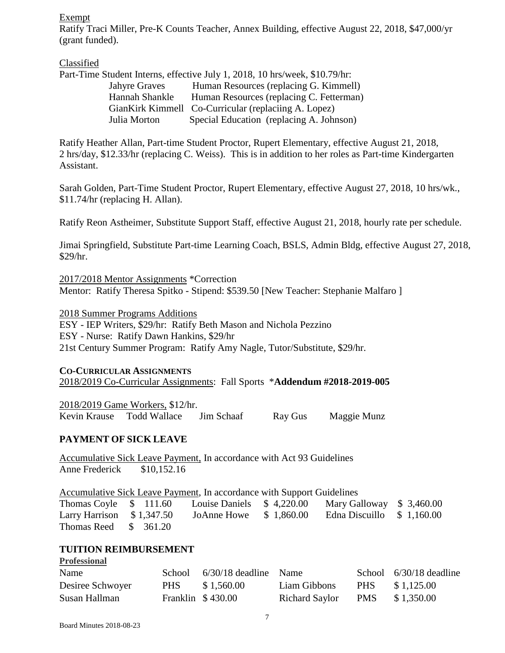Exempt

Ratify Traci Miller, Pre-K Counts Teacher, Annex Building, effective August 22, 2018, \$47,000/yr (grant funded).

Classified

|                      | Part-Time Student Interns, effective July 1, 2018, 10 hrs/week, \$10.79/hr: |
|----------------------|-----------------------------------------------------------------------------|
| <b>Jahyre Graves</b> | Human Resources (replacing G. Kimmell)                                      |
| Hannah Shankle       | Human Resources (replacing C. Fetterman)                                    |
|                      | GianKirk Kimmell Co-Curricular (replaciing A. Lopez)                        |
| Julia Morton         | Special Education (replacing A. Johnson)                                    |

Ratify Heather Allan, Part-time Student Proctor, Rupert Elementary, effective August 21, 2018, 2 hrs/day, \$12.33/hr (replacing C. Weiss). This is in addition to her roles as Part-time Kindergarten Assistant.

Sarah Golden, Part-Time Student Proctor, Rupert Elementary, effective August 27, 2018, 10 hrs/wk., \$11.74/hr (replacing H. Allan).

Ratify Reon Astheimer, Substitute Support Staff, effective August 21, 2018, hourly rate per schedule.

Jimai Springfield, Substitute Part-time Learning Coach, BSLS, Admin Bldg, effective August 27, 2018, \$29/hr.

2017/2018 Mentor Assignments \*Correction Mentor: Ratify Theresa Spitko - Stipend: \$539.50 [New Teacher: Stephanie Malfaro ]

2018 Summer Programs Additions

ESY - IEP Writers, \$29/hr: Ratify Beth Mason and Nichola Pezzino ESY - Nurse: Ratify Dawn Hankins, \$29/hr 21st Century Summer Program: Ratify Amy Nagle, Tutor/Substitute, \$29/hr.

### **CO-CURRICULAR ASSIGNMENTS**

2018/2019 Co-Curricular Assignments: Fall Sports \***Addendum #2018-2019-005**

2018/2019 Game Workers, \$12/hr. Kevin Krause Todd Wallace Jim Schaaf Ray Gus Maggie Munz

# **PAYMENT OF SICK LEAVE**

Accumulative Sick Leave Payment, In accordance with Act 93 Guidelines Anne Frederick \$10,152.16

Accumulative Sick Leave Payment, In accordance with Support Guidelines

Thomas Coyle \$ 111.60 Louise Daniels \$ 4,220.00 Mary Galloway \$ 3,460.00 Larry Harrison \$ 1,347.50 JoAnne Howe \$ 1,860.00 Edna Discuillo \$ 1,160.00 Thomas Reed \$ 361.20

# **TUITION REIMBURSEMENT**

| T LOLOSIONAL     |        |                         |                    |      |                         |
|------------------|--------|-------------------------|--------------------|------|-------------------------|
| Name             | School | $6/30/18$ deadline Name |                    |      | School 6/30/18 deadline |
| Desiree Schwoyer | PHS -  | \$1,560.00              | Liam Gibbons       | PHS. | \$1,125.00              |
| Susan Hallman    |        | Franklin $$430.00$      | Richard Saylor PMS |      | \$1,350.00              |

**Professional**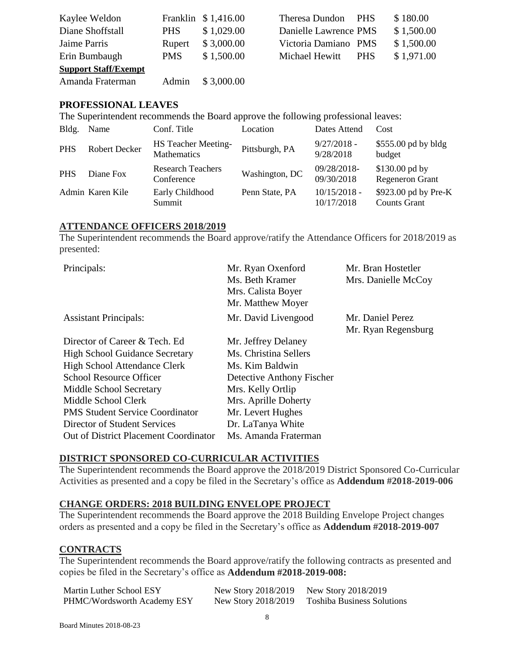| Kaylee Weldon               |            | Franklin \$1,416.00 | Theresa Dundon PHS    |            | \$180.00   |
|-----------------------------|------------|---------------------|-----------------------|------------|------------|
| Diane Shoffstall            | <b>PHS</b> | \$1,029.00          | Danielle Lawrence PMS |            | \$1,500.00 |
| Jaime Parris                | Rupert     | \$3,000.00          | Victoria Damiano PMS  |            | \$1,500.00 |
| Erin Bumbaugh               | <b>PMS</b> | \$1,500.00          | Michael Hewitt        | <b>PHS</b> | \$1,971.00 |
| <b>Support Staff/Exempt</b> |            |                     |                       |            |            |
| Amanda Fraterman            | Admin      | \$3,000.00          |                       |            |            |

## **PROFESSIONAL LEAVES**

The Superintendent recommends the Board approve the following professional leaves:

| Bldg.      | Name                 | Conf. Title                               | Location       | Dates Attend                 | Cost                                        |
|------------|----------------------|-------------------------------------------|----------------|------------------------------|---------------------------------------------|
| <b>PHS</b> | <b>Robert Decker</b> | <b>HS Teacher Meeting-</b><br>Mathematics | Pittsburgh, PA | $9/27/2018 -$<br>9/28/2018   | $$555.00$ pd by bldg<br>budget              |
| <b>PHS</b> | Diane Fox            | <b>Research Teachers</b><br>Conference    | Washington, DC | 09/28/2018-<br>09/30/2018    | $$130.00$ pd by<br><b>Regeneron Grant</b>   |
|            | Admin Karen Kile     | Early Childhood<br>Summit                 | Penn State, PA | $10/15/2018 -$<br>10/17/2018 | \$923.00 pd by Pre-K<br><b>Counts Grant</b> |

#### **ATTENDANCE OFFICERS 2018/2019**

The Superintendent recommends the Board approve/ratify the Attendance Officers for 2018/2019 as presented:

| Principals:                            | Mr. Ryan Oxenford         | Mr. Bran Hostetler  |
|----------------------------------------|---------------------------|---------------------|
|                                        | Ms. Beth Kramer           | Mrs. Danielle McCoy |
|                                        | Mrs. Calista Boyer        |                     |
|                                        | Mr. Matthew Moyer         |                     |
| <b>Assistant Principals:</b>           | Mr. David Livengood       | Mr. Daniel Perez    |
|                                        |                           | Mr. Ryan Regensburg |
| Director of Career & Tech. Ed          | Mr. Jeffrey Delaney       |                     |
| <b>High School Guidance Secretary</b>  | Ms. Christina Sellers     |                     |
| High School Attendance Clerk           | Ms. Kim Baldwin           |                     |
| <b>School Resource Officer</b>         | Detective Anthony Fischer |                     |
| Middle School Secretary                | Mrs. Kelly Ortlip         |                     |
| Middle School Clerk                    | Mrs. Aprille Doherty      |                     |
| <b>PMS Student Service Coordinator</b> | Mr. Levert Hughes         |                     |
| Director of Student Services           | Dr. LaTanya White         |                     |
| Out of District Placement Coordinator  | Ms. Amanda Fraterman      |                     |

### **DISTRICT SPONSORED CO-CURRICULAR ACTIVITIES**

The Superintendent recommends the Board approve the 2018/2019 District Sponsored Co-Curricular Activities as presented and a copy be filed in the Secretary's office as **Addendum #2018-2019-006**

### **CHANGE ORDERS: 2018 BUILDING ENVELOPE PROJECT**

The Superintendent recommends the Board approve the 2018 Building Envelope Project changes orders as presented and a copy be filed in the Secretary's office as **Addendum #2018-2019-007**

### **CONTRACTS**

The Superintendent recommends the Board approve/ratify the following contracts as presented and copies be filed in the Secretary's office as **Addendum #2018-2019-008:**

| Martin Luther School ESY    | New Story 2018/2019 New Story 2018/2019 |                                   |
|-----------------------------|-----------------------------------------|-----------------------------------|
| PHMC/Wordsworth Academy ESY | New Story 2018/2019                     | <b>Toshiba Business Solutions</b> |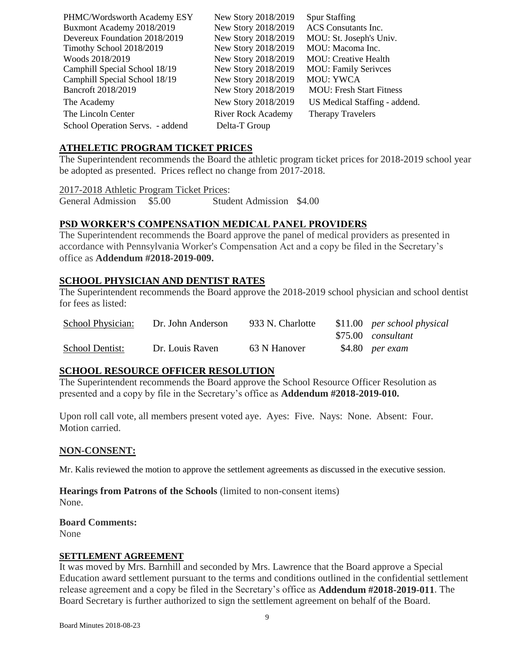| PHMC/Wordsworth Academy ESY      | New Story 2018/2019       | <b>Spur Staffing</b>            |
|----------------------------------|---------------------------|---------------------------------|
| Buxmont Academy 2018/2019        | New Story 2018/2019       | ACS Consutants Inc.             |
| Devereux Foundation 2018/2019    | New Story 2018/2019       | MOU: St. Joseph's Univ.         |
| Timothy School 2018/2019         | New Story 2018/2019       | MOU: Macoma Inc.                |
| Woods 2018/2019                  | New Story 2018/2019       | <b>MOU:</b> Creative Health     |
| Camphill Special School 18/19    | New Story 2018/2019       | <b>MOU: Family Serivces</b>     |
| Camphill Special School 18/19    | New Story 2018/2019       | <b>MOU: YWCA</b>                |
| Bancroft 2018/2019               | New Story 2018/2019       | <b>MOU: Fresh Start Fitness</b> |
| The Academy                      | New Story 2018/2019       | US Medical Staffing - addend.   |
| The Lincoln Center               | <b>River Rock Academy</b> | <b>Therapy Travelers</b>        |
| School Operation Servs. - addend | Delta-T Group             |                                 |
|                                  |                           |                                 |

### **ATHELETIC PROGRAM TICKET PRICES**

The Superintendent recommends the Board the athletic program ticket prices for 2018-2019 school year be adopted as presented. Prices reflect no change from 2017-2018.

2017-2018 Athletic Program Ticket Prices:

General Admission \$5.00 Student Admission \$4.00

## **PSD WORKER'S COMPENSATION MEDICAL PANEL PROVIDERS**

The Superintendent recommends the Board approve the panel of medical providers as presented in accordance with Pennsylvania Worker's Compensation Act and a copy be filed in the Secretary's office as **Addendum #2018-2019-009.**

# **SCHOOL PHYSICIAN AND DENTIST RATES**

The Superintendent recommends the Board approve the 2018-2019 school physician and school dentist for fees as listed:

| School Physician:      | Dr. John Anderson | 933 N. Charlotte | \$11.00 per school physical |
|------------------------|-------------------|------------------|-----------------------------|
|                        |                   |                  | \$75.00 consultant          |
| <b>School Dentist:</b> | Dr. Louis Raven   | 63 N Hanover     | \$4.80 per exam             |

# **SCHOOL RESOURCE OFFICER RESOLUTION**

The Superintendent recommends the Board approve the School Resource Officer Resolution as presented and a copy by file in the Secretary's office as **Addendum #2018-2019-010.**

Upon roll call vote, all members present voted aye. Ayes: Five. Nays: None. Absent: Four. Motion carried.

# **NON-CONSENT:**

Mr. Kalis reviewed the motion to approve the settlement agreements as discussed in the executive session.

### **Hearings from Patrons of the Schools** (limited to non-consent items)

None.

**Board Comments:** None

### **SETTLEMENT AGREEMENT**

It was moved by Mrs. Barnhill and seconded by Mrs. Lawrence that the Board approve a Special Education award settlement pursuant to the terms and conditions outlined in the confidential settlement release agreement and a copy be filed in the Secretary's office as **Addendum #2018-2019-011**. The Board Secretary is further authorized to sign the settlement agreement on behalf of the Board.